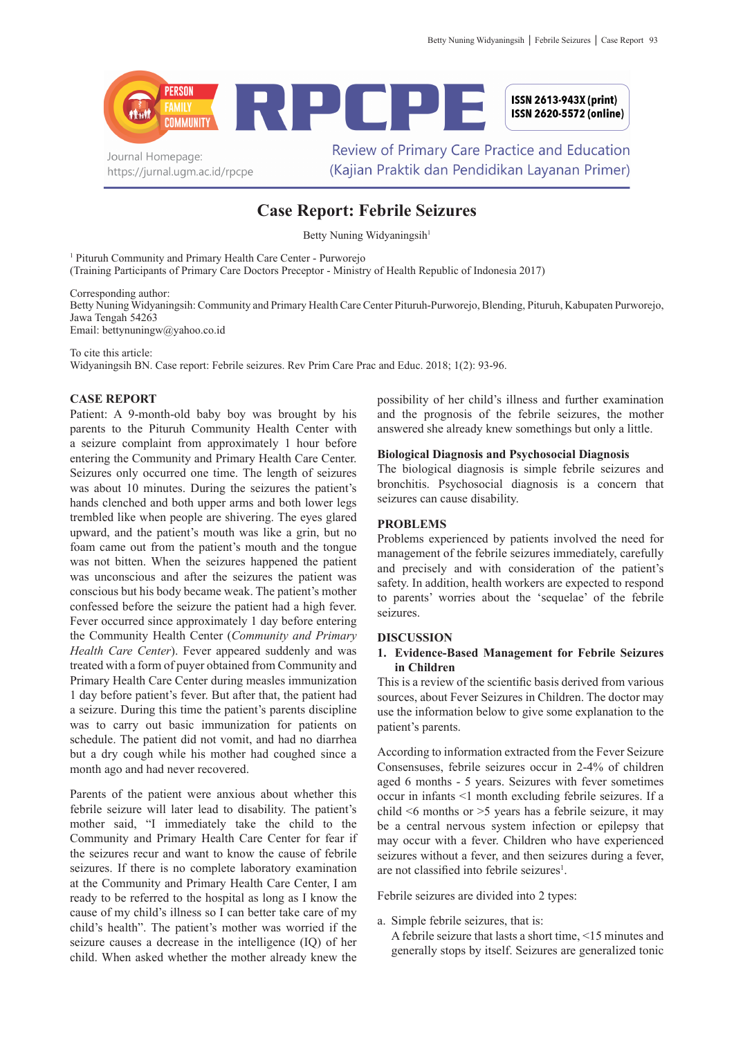

# **Case Report: Febrile Seizures**

Betty Nuning Widyaningsih<sup>1</sup>

<sup>1</sup> Pituruh Community and Primary Health Care Center - Purworejo

(Training Participants of Primary Care Doctors Preceptor - Ministry of Health Republic of Indonesia 2017)

Corresponding author:

Betty Nuning Widyaningsih: Community and Primary Health Care Center Pituruh-Purworejo, Blending, Pituruh, Kabupaten Purworejo, Jawa Tengah 54263 Email: bettynuningw@yahoo.co.id

To cite this article:

Widyaningsih BN. Case report: Febrile seizures. Rev Prim Care Prac and Educ. 2018; 1(2): 93-96.

# **CASE REPORT**

Patient: A 9-month-old baby boy was brought by his parents to the Pituruh Community Health Center with a seizure complaint from approximately 1 hour before entering the Community and Primary Health Care Center. Seizures only occurred one time. The length of seizures was about 10 minutes. During the seizures the patient's hands clenched and both upper arms and both lower legs trembled like when people are shivering. The eyes glared upward, and the patient's mouth was like a grin, but no foam came out from the patient's mouth and the tongue was not bitten. When the seizures happened the patient was unconscious and after the seizures the patient was conscious but his body became weak. The patient's mother confessed before the seizure the patient had a high fever. Fever occurred since approximately 1 day before entering the Community Health Center (*Community and Primary Health Care Center*). Fever appeared suddenly and was treated with a form of puyer obtained from Community and Primary Health Care Center during measles immunization 1 day before patient's fever. But after that, the patient had a seizure. During this time the patient's parents discipline was to carry out basic immunization for patients on schedule. The patient did not vomit, and had no diarrhea but a dry cough while his mother had coughed since a month ago and had never recovered.

Parents of the patient were anxious about whether this febrile seizure will later lead to disability. The patient's mother said, "I immediately take the child to the Community and Primary Health Care Center for fear if the seizures recur and want to know the cause of febrile seizures. If there is no complete laboratory examination at the Community and Primary Health Care Center, I am ready to be referred to the hospital as long as I know the cause of my child's illness so I can better take care of my child's health". The patient's mother was worried if the seizure causes a decrease in the intelligence (IQ) of her child. When asked whether the mother already knew the

possibility of her child's illness and further examination and the prognosis of the febrile seizures, the mother answered she already knew somethings but only a little.

# **Biological Diagnosis and Psychosocial Diagnosis**

The biological diagnosis is simple febrile seizures and bronchitis. Psychosocial diagnosis is a concern that seizures can cause disability.

## **PROBLEMS**

Problems experienced by patients involved the need for management of the febrile seizures immediately, carefully and precisely and with consideration of the patient's safety. In addition, health workers are expected to respond to parents' worries about the 'sequelae' of the febrile seizures.

#### **DISCUSSION**

## **1. Evidence-Based Management for Febrile Seizures in Children**

This is a review of the scientific basis derived from various sources, about Fever Seizures in Children. The doctor may use the information below to give some explanation to the patient's parents.

According to information extracted from the Fever Seizure Consensuses, febrile seizures occur in 2-4% of children aged 6 months - 5 years. Seizures with fever sometimes occur in infants <1 month excluding febrile seizures. If a child <6 months or >5 years has a febrile seizure, it may be a central nervous system infection or epilepsy that may occur with a fever. Children who have experienced seizures without a fever, and then seizures during a fever, are not classified into febrile seizures<sup>1</sup>.

Febrile seizures are divided into 2 types:

- a. Simple febrile seizures, that is:
	- A febrile seizure that lasts a short time, <15 minutes and generally stops by itself. Seizures are generalized tonic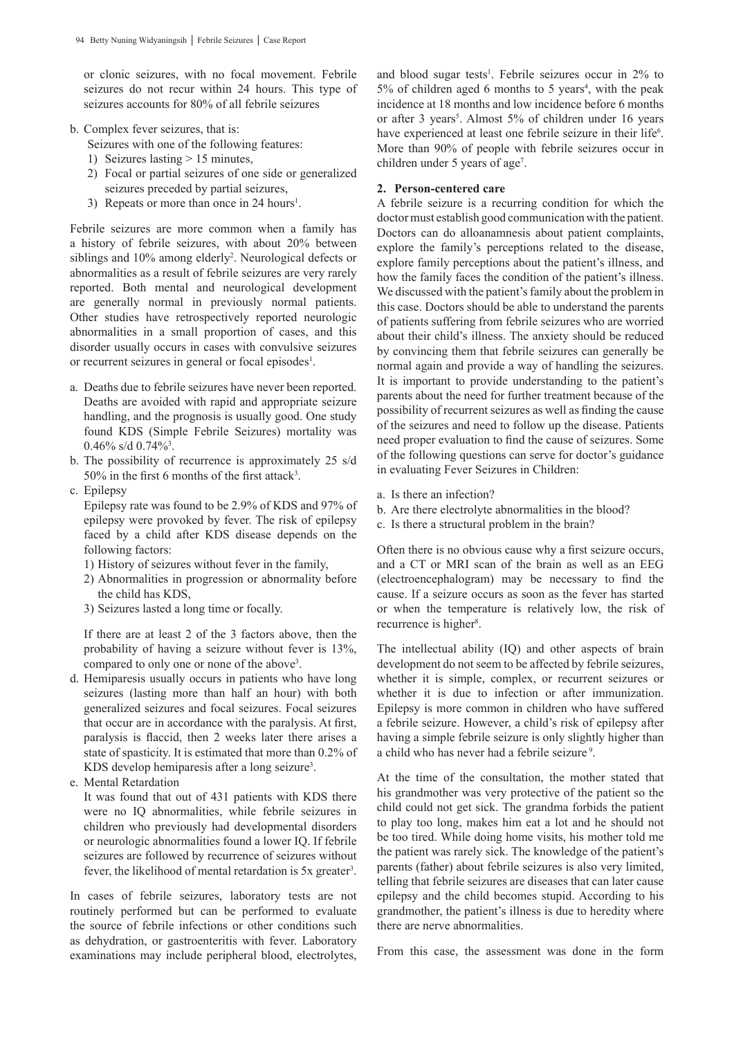or clonic seizures, with no focal movement. Febrile seizures do not recur within 24 hours. This type of seizures accounts for 80% of all febrile seizures

- b. Complex fever seizures, that is:
	- Seizures with one of the following features:
	- 1) Seizures lasting > 15 minutes,
	- 2) Focal or partial seizures of one side or generalized seizures preceded by partial seizures,
	- 3) Repeats or more than once in 24 hours<sup>1</sup>.

Febrile seizures are more common when a family has a history of febrile seizures, with about 20% between siblings and 10% among elderly<sup>2</sup>. Neurological defects or abnormalities as a result of febrile seizures are very rarely reported. Both mental and neurological development are generally normal in previously normal patients. Other studies have retrospectively reported neurologic abnormalities in a small proportion of cases, and this disorder usually occurs in cases with convulsive seizures or recurrent seizures in general or focal episodes<sup>1</sup>.

- a. Deaths due to febrile seizures have never been reported. Deaths are avoided with rapid and appropriate seizure handling, and the prognosis is usually good. One study found KDS (Simple Febrile Seizures) mortality was  $0.46\%$  s/d  $0.74\%$ <sup>3</sup>.
- b. The possibility of recurrence is approximately 25 s/d 50% in the first 6 months of the first attack<sup>3</sup>.
- c. Epilepsy

Epilepsy rate was found to be 2.9% of KDS and 97% of epilepsy were provoked by fever. The risk of epilepsy faced by a child after KDS disease depends on the following factors:

- 1) History of seizures without fever in the family,
- 2) Abnormalities in progression or abnormality before the child has KDS,
- 3) Seizures lasted a long time or focally.

If there are at least 2 of the 3 factors above, then the probability of having a seizure without fever is 13%, compared to only one or none of the above<sup>3</sup>.

- d. Hemiparesis usually occurs in patients who have long seizures (lasting more than half an hour) with both generalized seizures and focal seizures. Focal seizures that occur are in accordance with the paralysis. At first, paralysis is flaccid, then 2 weeks later there arises a state of spasticity. It is estimated that more than 0.2% of KDS develop hemiparesis after a long seizure<sup>3</sup>.
- e. Mental Retardation

It was found that out of 431 patients with KDS there were no IQ abnormalities, while febrile seizures in children who previously had developmental disorders or neurologic abnormalities found a lower IQ. If febrile seizures are followed by recurrence of seizures without fever, the likelihood of mental retardation is 5x greater<sup>3</sup>.

In cases of febrile seizures, laboratory tests are not routinely performed but can be performed to evaluate the source of febrile infections or other conditions such as dehydration, or gastroenteritis with fever. Laboratory examinations may include peripheral blood, electrolytes,

and blood sugar tests<sup>1</sup>. Febrile seizures occur in 2% to  $5\%$  of children aged 6 months to 5 years<sup>4</sup>, with the peak incidence at 18 months and low incidence before 6 months or after 3 years<sup>5</sup>. Almost 5% of children under 16 years have experienced at least one febrile seizure in their life<sup>6</sup>. More than 90% of people with febrile seizures occur in children under 5 years of age<sup>7</sup>.

#### **2. Person-centered care**

A febrile seizure is a recurring condition for which the doctor must establish good communication with the patient. Doctors can do alloanamnesis about patient complaints, explore the family's perceptions related to the disease, explore family perceptions about the patient's illness, and how the family faces the condition of the patient's illness. We discussed with the patient's family about the problem in this case. Doctors should be able to understand the parents of patients suffering from febrile seizures who are worried about their child's illness. The anxiety should be reduced by convincing them that febrile seizures can generally be normal again and provide a way of handling the seizures. It is important to provide understanding to the patient's parents about the need for further treatment because of the possibility of recurrent seizures as well as finding the cause of the seizures and need to follow up the disease. Patients need proper evaluation to find the cause of seizures. Some of the following questions can serve for doctor's guidance in evaluating Fever Seizures in Children:

- a. Is there an infection?
- b. Are there electrolyte abnormalities in the blood?
- c. Is there a structural problem in the brain?

Often there is no obvious cause why a first seizure occurs, and a CT or MRI scan of the brain as well as an EEG (electroencephalogram) may be necessary to find the cause. If a seizure occurs as soon as the fever has started or when the temperature is relatively low, the risk of recurrence is higher<sup>8</sup>.

The intellectual ability (IQ) and other aspects of brain development do not seem to be affected by febrile seizures, whether it is simple, complex, or recurrent seizures or whether it is due to infection or after immunization. Epilepsy is more common in children who have suffered a febrile seizure. However, a child's risk of epilepsy after having a simple febrile seizure is only slightly higher than a child who has never had a febrile seizure<sup>9</sup>.

At the time of the consultation, the mother stated that his grandmother was very protective of the patient so the child could not get sick. The grandma forbids the patient to play too long, makes him eat a lot and he should not be too tired. While doing home visits, his mother told me the patient was rarely sick. The knowledge of the patient's parents (father) about febrile seizures is also very limited, telling that febrile seizures are diseases that can later cause epilepsy and the child becomes stupid. According to his grandmother, the patient's illness is due to heredity where there are nerve abnormalities.

From this case, the assessment was done in the form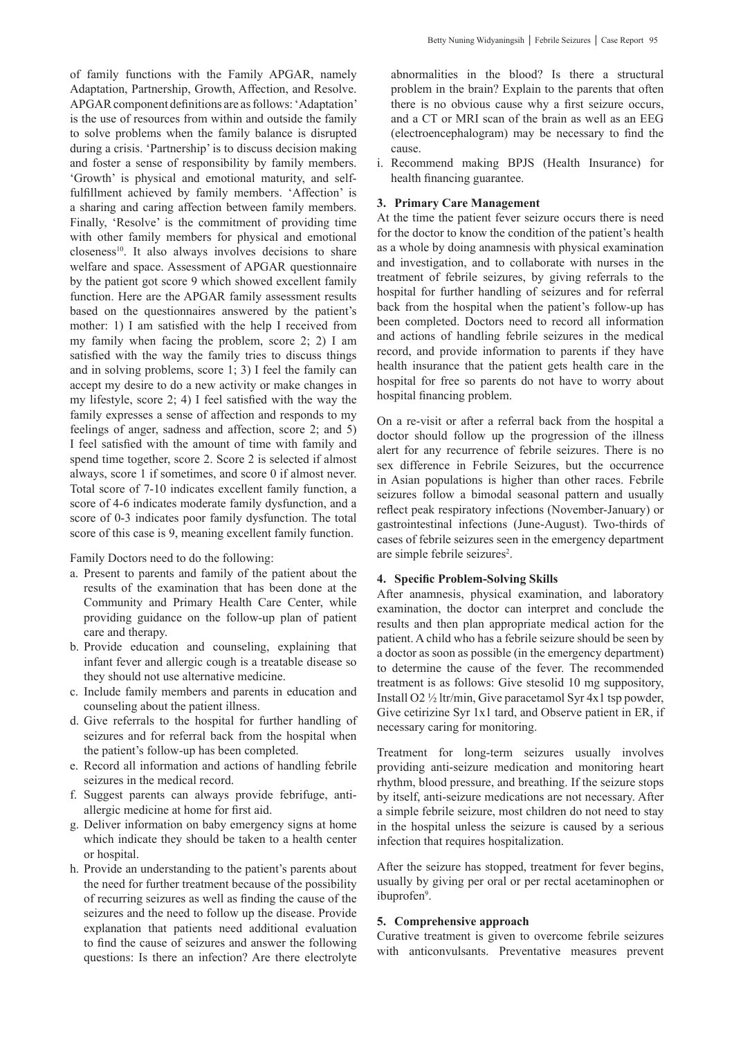of family functions with the Family APGAR, namely Adaptation, Partnership, Growth, Affection, and Resolve. APGAR component definitions are as follows: 'Adaptation' is the use of resources from within and outside the family to solve problems when the family balance is disrupted during a crisis. 'Partnership' is to discuss decision making and foster a sense of responsibility by family members. 'Growth' is physical and emotional maturity, and selffulfillment achieved by family members. 'Affection' is a sharing and caring affection between family members. Finally, 'Resolve' is the commitment of providing time with other family members for physical and emotional  $c$ loseness<sup>10</sup>. It also always involves decisions to share welfare and space. Assessment of APGAR questionnaire by the patient got score 9 which showed excellent family function. Here are the APGAR family assessment results based on the questionnaires answered by the patient's mother: 1) I am satisfied with the help I received from my family when facing the problem, score 2; 2) I am satisfied with the way the family tries to discuss things and in solving problems, score 1; 3) I feel the family can accept my desire to do a new activity or make changes in my lifestyle, score 2; 4) I feel satisfied with the way the family expresses a sense of affection and responds to my feelings of anger, sadness and affection, score 2; and 5) I feel satisfied with the amount of time with family and spend time together, score 2. Score 2 is selected if almost always, score 1 if sometimes, and score 0 if almost never. Total score of 7-10 indicates excellent family function, a score of 4-6 indicates moderate family dysfunction, and a score of 0-3 indicates poor family dysfunction. The total

score of this case is 9, meaning excellent family function.

Family Doctors need to do the following:

- a. Present to parents and family of the patient about the results of the examination that has been done at the Community and Primary Health Care Center, while providing guidance on the follow-up plan of patient care and therapy.
- b. Provide education and counseling, explaining that infant fever and allergic cough is a treatable disease so they should not use alternative medicine.
- c. Include family members and parents in education and counseling about the patient illness.
- d. Give referrals to the hospital for further handling of seizures and for referral back from the hospital when the patient's follow-up has been completed.
- e. Record all information and actions of handling febrile seizures in the medical record.
- f. Suggest parents can always provide febrifuge, antiallergic medicine at home for first aid.
- g. Deliver information on baby emergency signs at home which indicate they should be taken to a health center or hospital.
- h. Provide an understanding to the patient's parents about the need for further treatment because of the possibility of recurring seizures as well as finding the cause of the seizures and the need to follow up the disease. Provide explanation that patients need additional evaluation to find the cause of seizures and answer the following questions: Is there an infection? Are there electrolyte

abnormalities in the blood? Is there a structural problem in the brain? Explain to the parents that often there is no obvious cause why a first seizure occurs, and a CT or MRI scan of the brain as well as an EEG (electroencephalogram) may be necessary to find the cause.

i. Recommend making BPJS (Health Insurance) for health financing guarantee.

#### **3. Primary Care Management**

At the time the patient fever seizure occurs there is need for the doctor to know the condition of the patient's health as a whole by doing anamnesis with physical examination and investigation, and to collaborate with nurses in the treatment of febrile seizures, by giving referrals to the hospital for further handling of seizures and for referral back from the hospital when the patient's follow-up has been completed. Doctors need to record all information and actions of handling febrile seizures in the medical record, and provide information to parents if they have health insurance that the patient gets health care in the hospital for free so parents do not have to worry about hospital financing problem.

On a re-visit or after a referral back from the hospital a doctor should follow up the progression of the illness alert for any recurrence of febrile seizures. There is no sex difference in Febrile Seizures, but the occurrence in Asian populations is higher than other races. Febrile seizures follow a bimodal seasonal pattern and usually reflect peak respiratory infections (November-January) or gastrointestinal infections (June-August). Two-thirds of cases of febrile seizures seen in the emergency department are simple febrile seizures<sup>2</sup>.

## **4. Specific Problem-Solving Skills**

After anamnesis, physical examination, and laboratory examination, the doctor can interpret and conclude the results and then plan appropriate medical action for the patient. A child who has a febrile seizure should be seen by a doctor as soon as possible (in the emergency department) to determine the cause of the fever. The recommended treatment is as follows: Give stesolid 10 mg suppository, Install O2 ½ ltr/min, Give paracetamol Syr 4x1 tsp powder, Give cetirizine Syr 1x1 tard, and Observe patient in ER, if necessary caring for monitoring.

Treatment for long-term seizures usually involves providing anti-seizure medication and monitoring heart rhythm, blood pressure, and breathing. If the seizure stops by itself, anti-seizure medications are not necessary. After a simple febrile seizure, most children do not need to stay in the hospital unless the seizure is caused by a serious infection that requires hospitalization.

After the seizure has stopped, treatment for fever begins, usually by giving per oral or per rectal acetaminophen or ibuprofen<sup>9</sup>.

## **5. Comprehensive approach**

Curative treatment is given to overcome febrile seizures with anticonvulsants. Preventative measures prevent